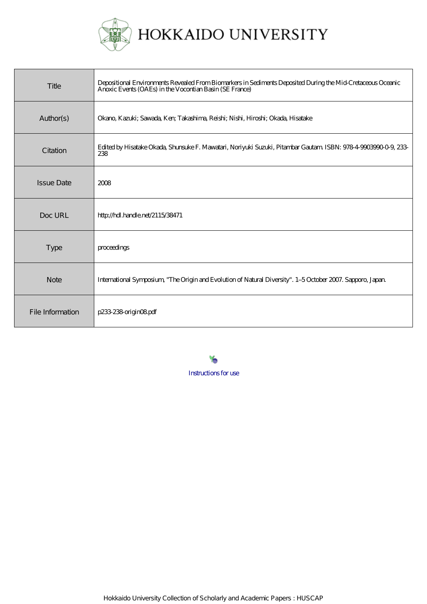

| Title             | Depositional Environments Revealed From Biomarkers in Sediments Deposited During the Mid-Cretaceous Oceanic<br>Anoxic Events (OAEs) in the Vocontian Basin (SE France) |
|-------------------|------------------------------------------------------------------------------------------------------------------------------------------------------------------------|
| Author(s)         | Okano, Kazuki; Sawada, Ken; Takashima, Reishi; Nishi, Hiroshi; Okada, Hisatake                                                                                         |
| Citation          | Edited by Hisatake Okada, Shunsuke F. Mawatari, Noriyuki Suzuki, Pitambar Gautam ISBN: 978-4-9003990-0-9, 233-<br>238                                                  |
| <b>Issue Date</b> | 2008                                                                                                                                                                   |
| Doc URL           | http://hdl.handle.net/2115/38471                                                                                                                                       |
| <b>Type</b>       | proceedings                                                                                                                                                            |
| <b>Note</b>       | International Symposium, "The Origin and Evolution of Natural Diversity". 1-5 October 2007. Sapporo, Japan.                                                            |
| File Information  | p233-238-origin08pdf                                                                                                                                                   |

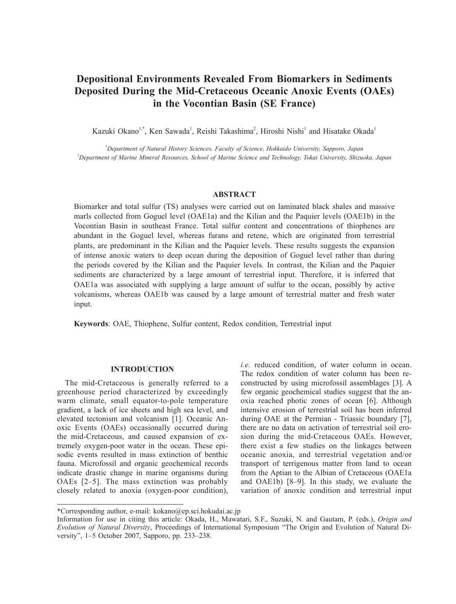# **Depositional Environments Revealed From Biomarkers in Sediments Deposited During the Mid-Cretaceous Oceanic Anoxic Events (OAEs) in the Vocontian Basin (SE France)**

Kazuki Okano<sup>1,\*</sup>, Ken Sawada<sup>1</sup>, Reishi Takashima<sup>2</sup>, Hiroshi Nishi<sup>1</sup> and Hisatake Okada<sup>1</sup>

*1 Department of Natural History Sciences, Faculty of Science, Hokkaido University, Sapporo, Japan 2 Department of Marine Mineral Resources, School of Marine Science and Technology, Tokai University, Shizuoka, Japan*

#### **ABSTRACT**

Biomarker and total sulfur (TS) analyses were carried out on laminated black shales and massive marls collected from Goguel level (OAE1a) and the Kilian and the Paquier levels (OAE1b) in the Vocontian Basin in southeast France. Total sulfur content and concentrations of thiophenes are abundant in the Goguel level, whereas furans and retene, which are originated from terrestrial plants, are predominant in the Kilian and the Paquier levels. These results suggests the expansion of intense anoxic waters to deep ocean during the deposition of Goguel level rather than during the periods covered by the Kilian and the Paquier levels. In contrast, the Kilian and the Paquier sediments are characterized by a large amount of terrestrial input. Therefore, it is inferred that OAE1a was associated with supplying a large amount of sulfur to the ocean, possibly by active volcanisms, whereas OAE1b was caused by a large amount of terrestrial matter and fresh water input.

**Keywords**: OAE, Thiophene, Sulfur content, Redox condition, Terrestrial input

# **INTRODUCTION**

The mid-Cretaceous is generally referred to a greenhouse period characterized by exceedingly warm climate, small equator-to-pole temperature gradient, a lack of ice sheets and high sea level, and elevated tectonism and volcanism [1]. Oceanic Anoxic Events (OAEs) occasionally occurred during the mid-Cretaceous, and caused expansion of extremely oxygen-poor water in the ocean. These episodic events resulted in mass extinction of benthic fauna. Microfossil and organic geochemical records indicate drastic change in marine organisms during OAEs [2–5]. The mass extinction was probably closely related to anoxia (oxygen-poor condition), *i.e.* reduced condition, of water column in ocean. The redox condition of water column has been reconstructed by using microfossil assemblages [3]. A few organic geochemical studies suggest that the anoxia reached photic zones of ocean [6]. Although intensive erosion of terrestrial soil has been inferred during OAE at the Permian - Triassic boundary [7], there are no data on activation of terrestrial soil erosion during the mid-Cretaceous OAEs. However, there exist a few studies on the linkages between oceanic anoxia, and terrestrial vegetation and/or transport of terrigenous matter from land to ocean from the Aptian to the Albian of Cretaceous (OAE1a and OAE1b) [8–9]. In this study, we evaluate the variation of anoxic condition and terrestrial input

<sup>\*</sup>Corresponding author, e-mail: kokano@ep.sci.hokudai.ac.jp

Information for use in citing this article: Okada, H., Mawatari, S.F., Suzuki, N. and Gautam, P. (eds.), *Origin and Evolution of Natural Diversity*, Proceedings of International Symposium "The Origin and Evolution of Natural Diversity", 1–5 October 2007, Sapporo, pp. 233–238.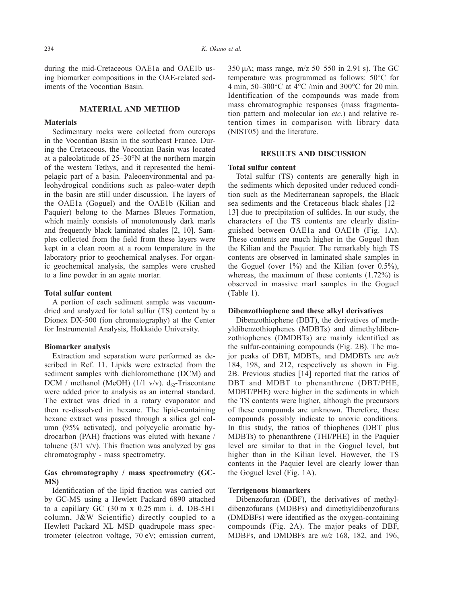during the mid-Cretaceous OAE1a and OAE1b using biomarker compositions in the OAE-related sediments of the Vocontian Basin.

#### **MATERIAL AND METHOD**

#### **Materials**

Sedimentary rocks were collected from outcrops in the Vocontian Basin in the southeast France. During the Cretaceous, the Vocontian Basin was located at a paleolatitude of 25–30°N at the northern margin of the western Tethys, and it represented the hemipelagic part of a basin. Paleoenvironmental and paleohydrogical conditions such as paleo-water depth in the basin are still under discussion. The layers of the OAE1a (Goguel) and the OAE1b (Kilian and Paquier) belong to the Marnes Bleues Formation, which mainly consists of monotonously dark marls and frequently black laminated shales [2, 10]. Samples collected from the field from these layers were kept in a clean room at a room temperature in the laboratory prior to geochemical analyses. For organic geochemical analysis, the samples were crushed to a fine powder in an agate mortar.

# **Total sulfur content**

A portion of each sediment sample was vacuumdried and analyzed for total sulfur (TS) content by a Dionex DX-500 (ion chromatography) at the Center for Instrumental Analysis, Hokkaido University.

#### **Biomarker analysis**

Extraction and separation were performed as described in Ref. 11. Lipids were extracted from the sediment samples with dichloromethane (DCM) and DCM / methanol (MeOH) (1/1 v/v).  $d_{62}$ -Triacontane were added prior to analysis as an internal standard. The extract was dried in a rotary evaporator and then re-dissolved in hexane. The lipid-containing hexane extract was passed through a silica gel column (95% activated), and polycyclic aromatic hydrocarbon (PAH) fractions was eluted with hexane / toluene  $(3/1 \text{ v/v})$ . This fraction was analyzed by gas chromatography - mass spectrometry.

# **Gas chromatography / mass spectrometry (GC-MS)**

Identification of the lipid fraction was carried out by GC-MS using a Hewlett Packard 6890 attached to a capillary GC (30 m x 0.25 mm i. d. DB-5HT column, J&W Scientific) directly coupled to a Hewlett Packard XL MSD quadrupole mass spectrometer (electron voltage, 70 eV; emission current,

350 μA; mass range, m/z 50–550 in 2.91 s). The GC temperature was programmed as follows: 50°C for 4 min, 50–300°C at 4°C /min and 300°C for 20 min. Identification of the compounds was made from mass chromatographic responses (mass fragmentation pattern and molecular ion *etc.*) and relative retention times in comparison with library data (NIST05) and the literature.

# **RESULTS AND DISCUSSION**

# **Total sulfur content**

Total sulfur (TS) contents are generally high in the sediments which deposited under reduced condition such as the Mediterranean sapropels, the Black sea sediments and the Cretaceous black shales [12– 13] due to precipitation of sulfides. In our study, the characters of the TS contents are clearly distinguished between OAE1a and OAE1b (Fig. 1A). These contents are much higher in the Goguel than the Kilian and the Paquier. The remarkably high TS contents are observed in laminated shale samples in the Goguel (over  $1\%$ ) and the Kilian (over  $0.5\%$ ), whereas, the maximum of these contents (1.72%) is observed in massive marl samples in the Goguel (Table 1).

#### **Dibenzothiophene and these alkyl derivatives**

Dibenzothiophene (DBT), the derivatives of methyldibenzothiophenes (MDBTs) and dimethyldibenzothiophenes (DMDBTs) are mainly identified as the sulfur-containing compounds (Fig. 2B). The major peaks of DBT, MDBTs, and DMDBTs are *m/z* 184, 198, and 212, respectively as shown in Fig. 2B. Previous studies [14] reported that the ratios of DBT and MDBT to phenanthrene (DBT/PHE, MDBT/PHE) were higher in the sediments in which the TS contents were higher, although the precursors of these compounds are unknown. Therefore, these compounds possibly indicate to anoxic conditions. In this study, the ratios of thiophenes (DBT plus MDBTs) to phenanthrene (THI/PHE) in the Paquier level are similar to that in the Goguel level, but higher than in the Kilian level. However, the TS contents in the Paquier level are clearly lower than the Goguel level (Fig. 1A).

# **Terrigenous biomarkers**

Dibenzofuran (DBF), the derivatives of methyldibenzofurans (MDBFs) and dimethyldibenzofurans (DMDBFs) were identified as the oxygen-containing compounds (Fig. 2A). The major peaks of DBF, MDBFs, and DMDBFs are *m/z* 168, 182, and 196,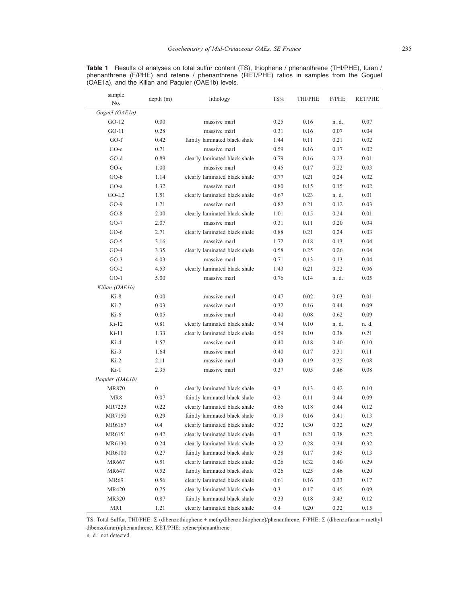| sample<br>No.   | depth (m)        | lithology                     | TS%  | THI/PHE | F/PHE | <b>RET/PHE</b> |
|-----------------|------------------|-------------------------------|------|---------|-------|----------------|
| Goguel (OAE1a)  |                  |                               |      |         |       |                |
| $GO-12$         | 0.00             | massive marl                  | 0.25 | 0.16    | n. d. | 0.07           |
| $GO-11$         | 0.28             | massive marl                  | 0.31 | 0.16    | 0.07  | 0.04           |
| $GO-f$          | 0.42             | faintly laminated black shale | 1.44 | 0.11    | 0.21  | 0.02           |
| GO-e            | 0.71             | massive marl                  | 0.59 | 0.16    | 0.17  | 0.02           |
| $GO-d$          | 0.89             | clearly laminated black shale | 0.79 | 0.16    | 0.23  | 0.01           |
| $GO-c$          | 1.00             | massive marl                  | 0.45 | 0.17    | 0.22  | 0.03           |
| $GO-b$          | 1.14             | clearly laminated black shale | 0.77 | 0.21    | 0.24  | 0.02           |
| $GO-a$          | 1.32             | massive marl                  | 0.80 | 0.15    | 0.15  | 0.02           |
| $GO-L2$         | 1.51             | clearly laminated black shale | 0.67 | 0.23    | n. d. | 0.01           |
| $GO-9$          | 1.71             | massive marl                  | 0.82 | 0.21    | 0.12  | 0.03           |
| $GO-8$          | 2.00             | clearly laminated black shale | 1.01 | 0.15    | 0.24  | 0.01           |
| $GO-7$          | 2.07             | massive marl                  | 0.31 | 0.11    | 0.20  | 0.04           |
| $GO-6$          | 2.71             | clearly laminated black shale | 0.88 | 0.21    | 0.24  | 0.03           |
| $GO-5$          | 3.16             | massive marl                  | 1.72 | 0.18    | 0.13  | 0.04           |
| $GO-4$          | 3.35             | clearly laminated black shale | 0.58 | 0.25    | 0.26  | 0.04           |
| $GO-3$          | 4.03             | massive marl                  | 0.71 | 0.13    | 0.13  | 0.04           |
| $GO-2$          | 4.53             | clearly laminated black shale | 1.43 | 0.21    | 0.22  | 0.06           |
| $GO-1$          | 5.00             | massive marl                  | 0.76 | 0.14    | n. d. | 0.05           |
| Kilian (OAE1b)  |                  |                               |      |         |       |                |
| $Ki-8$          | 0.00             | massive marl                  | 0.47 | 0.02    | 0.03  | 0.01           |
| $Ki-7$          | 0.03             | massive marl                  | 0.32 | 0.16    | 0.44  | 0.09           |
| $Ki-6$          | 0.05             | massive marl                  | 0.40 | 0.08    | 0.62  | 0.09           |
| $Ki-12$         | 0.81             | clearly laminated black shale | 0.74 | 0.10    | n. d. | n. d.          |
| $Ki-11$         | 1.33             | clearly laminated black shale | 0.59 | 0.10    | 0.38  | 0.21           |
| $Ki-4$          | 1.57             | massive marl                  | 0.40 | 0.18    | 0.40  | 0.10           |
| $Ki-3$          | 1.64             | massive marl                  | 0.40 | 0.17    | 0.31  | 0.11           |
| $Ki-2$          | 2.11             | massive marl                  | 0.43 | 0.19    | 0.35  | 0.08           |
| $Ki-1$          | 2.35             | massive marl                  | 0.37 | 0.05    | 0.46  | 0.08           |
| Paquier (OAE1b) |                  |                               |      |         |       |                |
| MR870           | $\boldsymbol{0}$ | clearly laminated black shale | 0.3  | 0.13    | 0.42  | 0.10           |
| MR8             | 0.07             | faintly laminated black shale | 0.2  | 0.11    | 0.44  | 0.09           |
| MR7225          | 0.22             | clearly laminated black shale | 0.66 | 0.18    | 0.44  | 0.12           |
| MR7150          | 0.29             | faintly laminated black shale | 0.19 | 0.16    | 0.41  | 0.13           |
| MR6167          | 0.4              | clearly laminated black shale | 0.32 | 0.30    | 0.32  | 0.29           |
| MR6151          | 0.42             | clearly laminated black shale | 0.3  | 0.21    | 0.38  | 0.22           |
| MR6130          | 0.24             | clearly laminated black shale | 0.22 | 0.28    | 0.34  | 0.32           |
| MR6100          | 0.27             | faintly laminated black shale | 0.38 | 0.17    | 0.45  | 0.13           |
| MR667           | 0.51             | clearly laminated black shale | 0.26 | 0.32    | 0.40  | 0.29           |
| MR647           | 0.52             | faintly laminated black shale | 0.26 | 0.25    | 0.46  | 0.20           |
| MR69            | 0.56             | clearly laminated black shale | 0.61 | 0.16    | 0.33  | 0.17           |
| MR420           | 0.75             | clearly laminated black shale | 0.3  | 0.17    | 0.45  | 0.09           |
| MR320           | 0.87             | faintly laminated black shale | 0.33 | 0.18    | 0.43  | 0.12           |
| MR1             | 1.21             | clearly laminated black shale | 0.4  | 0.20    | 0.32  | 0.15           |

**Table 1** Results of analyses on total sulfur content (TS), thiophene / phenanthrene (THI/PHE), furan / phenanthrene (F/PHE) and retene / phenanthrene (RET/PHE) ratios in samples from the Goguel (OAE1a), and the Kilian and Paquier (OAE1b) levels.

TS: Total Sulfur, THI/PHE: Σ (dibenzothiophene + methydibenzothiophene)/phenanthrene, F/PHE: Σ (dibenzofuran + methyl dibenzofuran)/phenanthrene, RET/PHE: retene/phenanthrene

n. d.: not detected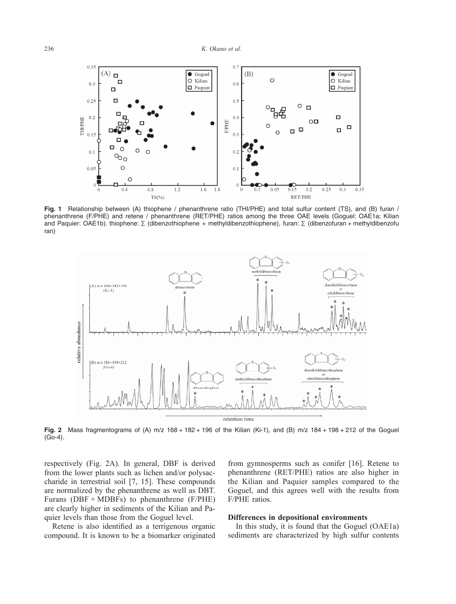

**Fig. 1** Relationship between (A) thiophene / phenanthrene ratio (THI/PHE) and total sulfur content (TS), and (B) furan / phenanthrene (F/PHE) and retene / phenanthrene (RET/PHE) ratios among the three OAE levels (Goguel: OAE1a; Kilian and Paquier: OAE1b). thiophene: Σ (dibenzothiophene + methyldibenzothiophene), furan: Σ (dibenzofuran + methyldibenzofu ran)



**Fig. 2** Mass fragmentograms of (A) m/z 168 + 182 + 196 of the Kilian (Ki-1), and (B) m/z 184 + 198 + 212 of the Goguel (Go-4).

respectively (Fig. 2A). In general, DBF is derived from the lower plants such as lichen and/or polysaccharide in terrestrial soil [7, 15]. These compounds are normalized by the phenanthrene as well as DBT. Furans ( $DBF + MDBFs$ ) to phenanthrene ( $F/PHE$ ) are clearly higher in sediments of the Kilian and Paquier levels than those from the Goguel level.

Retene is also identified as a terrigenous organic compound. It is known to be a biomarker originated from gymnosperms such as conifer [16]. Retene to phenanthrene (RET/PHE) ratios are also higher in the Kilian and Paquier samples compared to the Goguel, and this agrees well with the results from F/PHE ratios.

#### **Differences in depositional environments**

In this study, it is found that the Goguel (OAE1a) sediments are characterized by high sulfur contents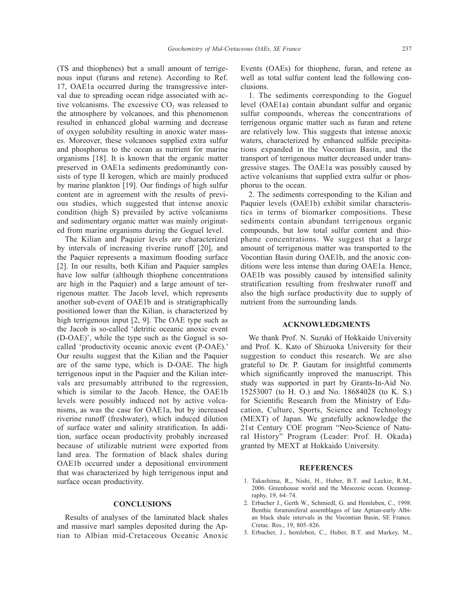(TS and thiophenes) but a small amount of terrigenous input (furans and retene). According to Ref. 17, OAE1a occurred during the transgressive interval due to spreading ocean ridge associated with active volcanisms. The excessive  $CO<sub>2</sub>$  was released to the atmosphere by volcanoes, and this phenomenon resulted in enhanced global warming and decrease of oxygen solubility resulting in anoxic water masses. Moreover, these volcanoes supplied extra sulfur and phosphorus to the ocean as nutrient for marine organisms [18]. It is known that the organic matter preserved in OAE1a sediments predominantly consists of type II kerogen, which are mainly produced by marine plankton [19]. Our findings of high sulfur content are in agreement with the results of previous studies, which suggested that intense anoxic condition (high S) prevailed by active volcanisms and sedimentary organic matter was mainly originated from marine organisms during the Goguel level.

The Kilian and Paquier levels are characterized by intervals of increasing riverine runoff [20], and the Paquier represents a maximum flooding surface [2]. In our results, both Kilian and Paquier samples have low sulfur (although thiophene concentrations are high in the Paquier) and a large amount of terrigenous matter. The Jacob level, which represents another sub-event of OAE1b and is stratigraphically positioned lower than the Kilian, is characterized by high terrigenous input [2, 9]. The OAE type such as the Jacob is so-called 'detritic oceanic anoxic event (D-OAE)', while the type such as the Goguel is socalled 'productivity oceanic anoxic event (P-OAE).' Our results suggest that the Kilian and the Paquier are of the same type, which is D-OAE. The high terrigenous input in the Paquier and the Kilian intervals are presumably attributed to the regression, which is similar to the Jacob. Hence, the OAE1b levels were possibly induced not by active volcanisms, as was the case for OAE1a, but by increased riverine runoff (freshwater), which induced dilution of surface water and salinity stratification. In addition, surface ocean productivity probably increased because of utilizable nutrient were exported from land area. The formation of black shales during OAE1b occurred under a depositional environment that was characterized by high terrigenous input and surface ocean productivity.

#### **CONCLUSIONS**

Results of analyses of the laminated black shales and massive marl samples deposited during the Aptian to Albian mid-Cretaceous Oceanic Anoxic Events (OAEs) for thiophene, furan, and retene as well as total sulfur content lead the following conclusions.

1. The sediments corresponding to the Goguel level (OAE1a) contain abundant sulfur and organic sulfur compounds, whereas the concentrations of terrigenous organic matter such as furan and retene are relatively low. This suggests that intense anoxic waters, characterized by enhanced sulfide precipitations expanded in the Vocontian Basin, and the transport of terrigenous matter decreased under transgressive stages. The OAE1a was possibly caused by active volcanisms that supplied extra sulfur or phosphorus to the ocean.

2. The sediments corresponding to the Kilian and Paquier levels (OAE1b) exhibit similar characteristics in terms of biomarker compositions. These sediments contain abundant terrigenous organic compounds, but low total sulfur content and thiophene concentrations. We suggest that a large amount of terrigenous matter was transported to the Vocontian Basin during OAE1b, and the anoxic conditions were less intense than during OAE1a. Hence, OAE1b was possibly caused by intensified salinity stratification resulting from freshwater runoff and also the high surface productivity due to supply of nutrient from the surrounding lands.

#### **ACKNOWLEDGMENTS**

We thank Prof. N. Suzuki of Hokkaido University and Prof. K. Kato of Shizuoka University for their suggestion to conduct this research. We are also grateful to Dr. P. Gautam for insightful comments which significantly improved the manuscript. This study was supported in part by Grants-In-Aid No. 15253007 (to H. O.) and No. 18684028 (to K. S.) for Scientific Research from the Ministry of Education, Culture, Sports, Science and Technology (MEXT) of Japan. We gratefully acknowledge the 21st Century COE program "Neo-Science of Natural History" Program (Leader: Prof. H. Okada) granted by MEXT at Hokkaido University.

#### **REFERENCES**

- 1. Takashima, R., Nishi, H., Huber, B.T. and Leckie, R.M., 2006. Greenhouse world and the Mesozoic ocean. Oceanography, 19, 64–74.
- 2. Erbacher J., Gerth W., Schmiedl, G. and Hemleben, C., 1998. Benthic foraminiferal assemblages of late Aptian-early Albian black shale intervals in the Vocontian Basin, SE France. Cretac. Res., 19, 805–826.
- 3. Erbacher, J., hemleben, C., Huber, B.T. and Markey, M.,